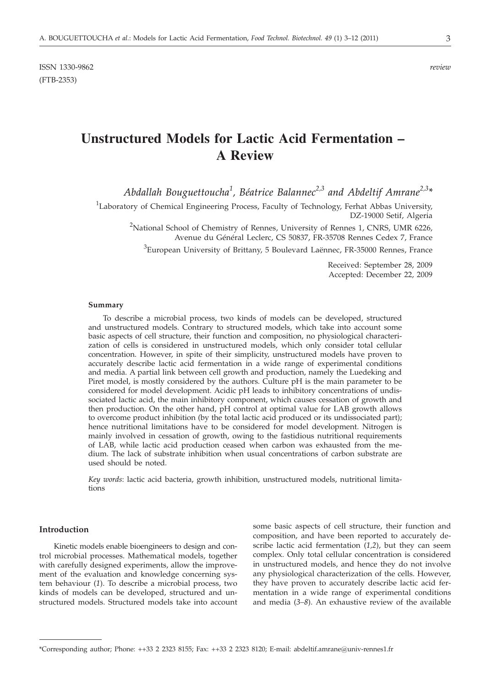ISSN 1330-9862 *review* (FTB-2353)

# **Unstructured Models for Lactic Acid Fermentation – A Review**

*Abdallah Bouguettoucha<sup>1</sup> , Béatrice Balannec2,3 and Abdeltif Amrane2,3\**

<sup>1</sup>Laboratory of Chemical Engineering Process, Faculty of Technology, Ferhat Abbas University, DZ-19000 Setif, Algeria

<sup>2</sup>National School of Chemistry of Rennes, University of Rennes 1, CNRS, UMR 6226, Avenue du Général Leclerc, CS 50837, FR-35708 Rennes Cedex 7, France

 $^3$ European University of Brittany, 5 Boulevard Laënnec, FR-35000 Rennes, France

Received: September 28, 2009 Accepted: December 22, 2009

#### **Summary**

To describe a microbial process, two kinds of models can be developed, structured and unstructured models. Contrary to structured models, which take into account some basic aspects of cell structure, their function and composition, no physiological characterization of cells is considered in unstructured models, which only consider total cellular concentration. However, in spite of their simplicity, unstructured models have proven to accurately describe lactic acid fermentation in a wide range of experimental conditions and media. A partial link between cell growth and production, namely the Luedeking and Piret model, is mostly considered by the authors. Culture pH is the main parameter to be considered for model development. Acidic pH leads to inhibitory concentrations of undissociated lactic acid, the main inhibitory component, which causes cessation of growth and then production. On the other hand, pH control at optimal value for LAB growth allows to overcome product inhibition (by the total lactic acid produced or its undissociated part); hence nutritional limitations have to be considered for model development. Nitrogen is mainly involved in cessation of growth, owing to the fastidious nutritional requirements of LAB, while lactic acid production ceased when carbon was exhausted from the medium. The lack of substrate inhibition when usual concentrations of carbon substrate are used should be noted.

*Key words*: lactic acid bacteria, growth inhibition, unstructured models, nutritional limitations

#### **Introduction**

Kinetic models enable bioengineers to design and control microbial processes. Mathematical models, together with carefully designed experiments, allow the improvement of the evaluation and knowledge concerning system behaviour (*1*). To describe a microbial process, two kinds of models can be developed, structured and unstructured models. Structured models take into account some basic aspects of cell structure, their function and composition, and have been reported to accurately describe lactic acid fermentation (*1,2*), but they can seem complex. Only total cellular concentration is considered in unstructured models, and hence they do not involve any physiological characterization of the cells. However, they have proven to accurately describe lactic acid fermentation in a wide range of experimental conditions and media (*3–8*). An exhaustive review of the available

<sup>\*</sup>Corresponding author; Phone: ++33 2 2323 8155; Fax: ++33 2 2323 8120; E-mail: abdeltif.amrane@univ-rennes1.fr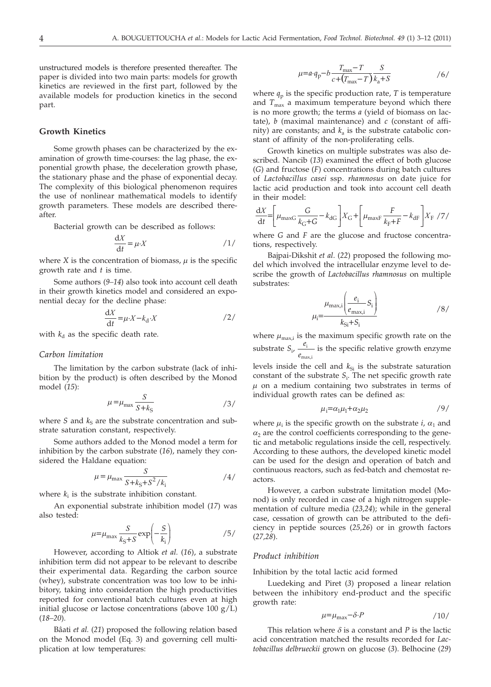unstructured models is therefore presented thereafter. The paper is divided into two main parts: models for growth kinetics are reviewed in the first part, followed by the available models for production kinetics in the second part.

## **Growth Kinetics**

Some growth phases can be characterized by the examination of growth time-courses: the lag phase, the exponential growth phase, the deceleration growth phase, the stationary phase and the phase of exponential decay. The complexity of this biological phenomenon requires the use of nonlinear mathematical models to identify growth parameters. These models are described thereafter.

Bacterial growth can be described as follows:

$$
\frac{\mathrm{d}X}{\mathrm{d}t} = \mu \cdot X \tag{1}
$$

where *X* is the concentration of biomass,  $\mu$  is the specific growth rate and *t* is time.

Some authors (*9–14*) also took into account cell death in their growth kinetics model and considered an exponential decay for the decline phase:

$$
\frac{\mathrm{d}X}{\mathrm{d}t} = \mu \cdot X - k_{\mathrm{d}} \cdot X \tag{2}
$$

with  $k_d$  as the specific death rate.

### *Carbon limitation*

The limitation by the carbon substrate (lack of inhibition by the product) is often described by the Monod model (*15*):

$$
\mu = \mu_{\text{max}} \frac{S}{S + k_{\text{S}}} \tag{3/}
$$

where  $S$  and  $k<sub>s</sub>$  are the substrate concentration and substrate saturation constant, respectively.

Some authors added to the Monod model a term for inhibition by the carbon substrate (*16*), namely they considered the Haldane equation:

$$
\mu = \mu_{\text{max}} \frac{S}{S + k_{\text{S}} + S^2 / k_{\text{i}}}
$$

where  $k_i$  is the substrate inhibition constant.

An exponential substrate inhibition model (*17*) was also tested:

$$
\mu = \mu_{\text{max}} \frac{S}{k_{\text{S}} + S} \exp\left(-\frac{S}{k_{\text{i}}}\right) \tag{5}
$$

However, according to Altiok *et al.* (*16*), a substrate inhibition term did not appear to be relevant to describe their experimental data. Regarding the carbon source (whey), substrate concentration was too low to be inhibitory, taking into consideration the high productivities reported for conventional batch cultures even at high initial glucose or lactose concentrations (above 100 g/L) (*18–20*).

Bâati *et al.* (*21*) proposed the following relation based on the Monod model (Eq. 3) and governing cell multiplication at low temperatures:

$$
\mu=a\cdot q_{\rm p}-b\frac{T_{\rm max}-T}{c+\left(T_{\rm max}-T\right)}\frac{S}{k_{\rm a}+S} \qquad \qquad \text{}/6\text{/}
$$

where  $q_p$  is the specific production rate,  $T$  is temperature and  $T_{\text{max}}$  a maximum temperature beyond which there is no more growth; the terms *a* (yield of biomass on lactate), *b* (maximal maintenance) and *c* (constant of affinity) are constants; and  $k_a$  is the substrate catabolic constant of affinity of the non-proliferating cells.

Growth kinetics on multiple substrates was also described. Nancib (*13*) examined the effect of both glucose (*G*) and fructose (*F*) concentrations during batch cultures of *Lactobacillus casei* ssp. *rhamnosus* on date juice for lactic acid production and took into account cell death in their model:

$$
\frac{dX}{dt} = \left[ \mu_{\text{maxG}} \frac{G}{k_{\text{G}} + G} - k_{\text{dG}} \right] X_{\text{G}} + \left[ \mu_{\text{maxF}} \frac{F}{k_{\text{F}} + F} - k_{\text{dF}} \right] X_{\text{F}} / 7 /
$$

where *G* and *F* are the glucose and fructose concentrations, respectively.

Bajpai-Dikshit *et al*. (*22*) proposed the following model which involved the intracellular enzyme level to describe the growth of *Lactobacillus rhamnosus* on multiple substrates:

$$
\mu_{\rm i} = \frac{\mu_{\rm max,i} \left( \frac{e_{\rm i}}{e_{\rm max,i}} S_{\rm i} \right)}{k_{\rm Si} + S_{\rm i}} \tag{8}
$$

where  $\mu_{\text{max,i}}$  is the maximum specific growth rate on the substrate  $S_i$ ,  $\frac{e}{e_{\text{max}}}$ i max,i is the specific relative growth enzyme

levels inside the cell and  $k_{Si}$  is the substrate saturation constant of the substrate *S*<sub>i</sub>. The net specific growth rate  $\mu$  on a medium containing two substrates in terms of individual growth rates can be defined as:

$$
\mu_i = \alpha_1 \mu_1 + \alpha_2 \mu_2 \tag{9}
$$

where  $\mu_i$  is the specific growth on the substrate *i*,  $\alpha_1$  and  $\alpha_2$  are the control coefficients corresponding to the genetic and metabolic regulations inside the cell, respectively. According to these authors, the developed kinetic model can be used for the design and operation of batch and continuous reactors, such as fed-batch and chemostat reactors.

However, a carbon substrate limitation model (Monod) is only recorded in case of a high nitrogen supplementation of culture media (*23,24*); while in the general case, cessation of growth can be attributed to the deficiency in peptide sources (*25,26*) or in growth factors (*27,28*).

#### *Product inhibition*

Inhibition by the total lactic acid formed

Luedeking and Piret (*3*) proposed a linear relation between the inhibitory end-product and the specific growth rate:

$$
\mu = \mu_{\text{max}} - \delta \cdot P \tag{10}
$$

This relation where  $\delta$  is a constant and *P* is the lactic acid concentration matched the results recorded for *Lactobacillus delbrueckii* grown on glucose (*3*). Belhocine (*29*)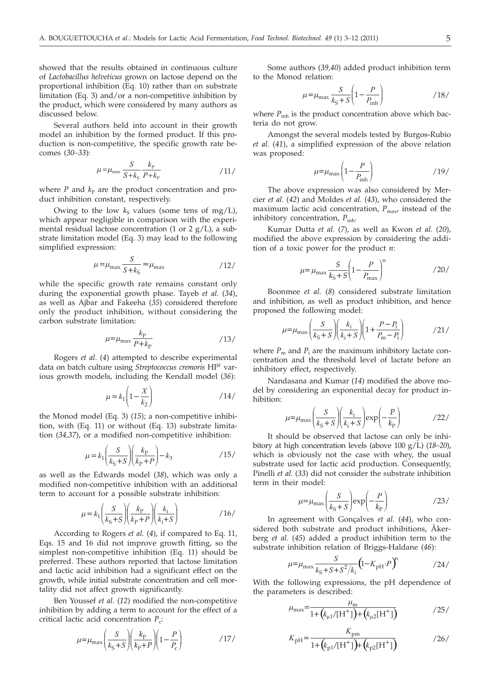showed that the results obtained in continuous culture of *Lactobacillus helveticus* grown on lactose depend on the proportional inhibition (Eq. 10) rather than on substrate limitation (Eq. 3) and/or a non-competitive inhibition by the product, which were considered by many authors as discussed below.

Several authors held into account in their growth model an inhibition by the formed product. If this production is non-competitive, the specific growth rate becomes (*30–33*):

$$
\mu = \mu_{\text{max}} \frac{S}{S + k_{\text{s}}} \frac{k_{\text{P}}}{P + k_{\text{P}}} \tag{11/}
$$

where  $P$  and  $k<sub>P</sub>$  are the product concentration and product inhibition constant, respectively.

Owing to the low  $k<sub>s</sub>$  values (some tens of mg/L), which appear negligible in comparison with the experimental residual lactose concentration (1 or 2  $g/L$ ), a substrate limitation model (Eq. 3) may lead to the following simplified expression:

$$
\mu = \mu_{\text{max}} \frac{S}{S + k_{\text{S}}} \approx \mu_{\text{max}} \tag{12}
$$

while the specific growth rate remains constant only during the exponential growth phase. Tayeb *et al.* (*34*), as well as Ajbar and Fakeeha (*35*) considered therefore only the product inhibition, without considering the carbon substrate limitation:

$$
\mu = \mu_{\text{max}} \frac{k_{\text{P}}}{P + k_{\text{P}}} \tag{13}
$$

Rogers *et al*. (*4*) attempted to describe experimental data on batch culture using *Streptococcus cremoris* HP1 various growth models, including the Kendall model (*36*):

$$
\mu = k_1 \left( 1 - \frac{X}{k_2} \right) \tag{14}
$$

the Monod model (Eq. 3) (*15*); a non-competitive inhibition, with (Eq. 11) or without (Eq. 13) substrate limitation (*34,37*), or a modified non-competitive inhibition:

$$
\mu = k_1 \left( \frac{S}{k_S + S} \right) \left( \frac{k_P}{k_P + P} \right) - k_3 \tag{15}
$$

as well as the Edwards model (*38*), which was only a modified non-competitive inhibition with an additional term to account for a possible substrate inhibition:

$$
\mu = k_1 \left( \frac{S}{k_S + S} \right) \left( \frac{k_P}{k_P + P} \right) \left( \frac{k_i}{k_i + S} \right) \tag{16}
$$

According to Rogers *et al.* (*4*), if compared to Eq. 11, Eqs. 15 and 16 did not improve growth fitting, so the simplest non-competitive inhibition (Eq. 11) should be preferred. These authors reported that lactose limitation and lactic acid inhibition had a significant effect on the growth, while initial substrate concentration and cell mortality did not affect growth significantly.

Ben Youssef *et al.* (*12*) modified the non-competitive inhibition by adding a term to account for the effect of a critical lactic acid concentration  $P_c$ :

$$
\mu = \mu_{\text{max}} \left( \frac{S}{k_{\text{S}} + S} \right) \left( \frac{k_{\text{P}}}{k_{\text{P}} + P} \right) \left( 1 - \frac{P}{P_{\text{c}}} \right) \tag{17}
$$

Some authors (*39,40*) added product inhibition term to the Monod relation:

$$
\mu = \mu_{\text{max}} \frac{S}{k_{\text{S}} + S} \left( 1 - \frac{P}{P_{\text{inh}}} \right) \tag{18}
$$

where  $P_{\text{inh}}$  is the product concentration above which bacteria do not grow.

Amongst the several models tested by Burgos-Rubio *et al.* (*41*), a simplified expression of the above relation was proposed:

$$
\mu = \mu_{\text{max}} \left( 1 - \frac{P}{P_{\text{inh}}} \right) \tag{19}
$$

The above expression was also considered by Mercier *et al.* (*42*) and Moldes *et al.* (*43*), who considered the maximum lactic acid concentration,  $P_{\text{max}}$  instead of the inhibitory concentration,  $P_{inh}$ .

Kumar Dutta *et al.* (*7*), as well as Kwon *et al.* (*20*), modified the above expression by considering the addition of a toxic power for the product *n*:

$$
\mu = \mu_{\text{max}} \frac{S}{k_{\text{S}} + S} \left( 1 - \frac{P}{P_{\text{max}}} \right)^{\text{n}} \tag{20}
$$

Boonmee *et al.* (*8*) considered substrate limitation and inhibition, as well as product inhibition, and hence proposed the following model:

$$
\mu = \mu_{\text{max}} \left( \frac{S}{k_{\text{S}} + S} \right) \left( \frac{k_{\text{i}}}{k_{\text{i}} + S} \right) \left( 1 + \frac{P - P_{\text{i}}}{P_{\text{m}} - P_{\text{i}}} \right) \tag{21}
$$

where  $P_m$  and  $P_i$  are the maximum inhibitory lactate concentration and the threshold level of lactate before an inhibitory effect, respectively.

Nandasana and Kumar (*14*) modified the above model by considering an exponential decay for product inhibition:

$$
\mu = \mu_{\text{max}} \left( \frac{S}{k_{\text{S}} + S} \right) \left( \frac{k_{\text{i}}}{k_{\text{i}} + S} \right) \exp \left( -\frac{P}{k_{\text{P}}} \right) \tag{22}
$$

It should be observed that lactose can only be inhibitory at high concentration levels (above 100 g/L) (*18–20*), which is obviously not the case with whey, the usual substrate used for lactic acid production. Consequently, Pinelli *et al.* (*33*) did not consider the substrate inhibition term in their model:

$$
\mu = \mu_{\text{max}} \left( \frac{S}{k_{\text{S}} + S} \right) \exp \left( - \frac{P}{k_{\text{P}}} \right) \tag{23}
$$

In agreement with Gonçalves *et al.* (*44*), who considered both substrate and product inhibitions, Åkerberg *et al.* (*45*) added a product inhibition term to the substrate inhibition relation of Briggs-Haldane (*46*):

$$
\mu = \mu_{\text{max}} \frac{S}{k_S + S + S^2 / k_i} \left( 1 - K_{\text{pH}} \cdot P \right)^n \tag{24}
$$

With the following expressions, the pH dependence of the parameters is described:

$$
\mu_{\text{max}} = \frac{\mu_{\text{m}}}{1 + (k_{\mu 1}/[\text{H}^+]) + (k_{\mu 2}[\text{H}^+])}
$$
 (25)

$$
K_{\rm pH} = \frac{K_{\rm pm}}{1 + (k_{\rm p1}/\rm{[H^+]}) + (k_{\rm p2}/\rm{[H^+]})}
$$
 (26)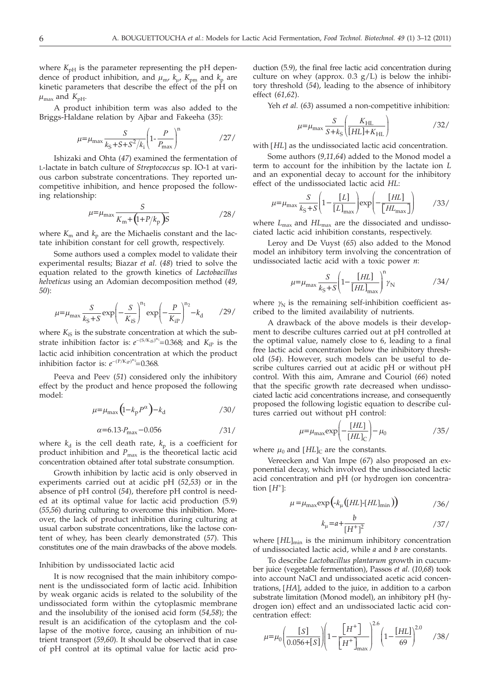where  $K_{\text{pH}}$  is the parameter representing the pH dependence of product inhibition, and  $\mu_{\rm m}$ ,  $k_{\rm u}$ ,  $K_{\rm pm}$  and  $k_{\rm p}$  are kinetic parameters that describe the effect of the pH on  $\mu_{\text{max}}$  and  $K_{\text{pH}}$ .

A product inhibition term was also added to the Briggs-Haldane relation by Ajbar and Fakeeha (*35*):

$$
\mu = \mu_{\text{max}} \frac{S}{k_{\text{S}} + S + S^2 / k_{\text{i}}} \left( 1 - \frac{P}{P_{\text{max}}} \right)^n \tag{27}
$$

Ishizaki and Ohta (*47*) examined the fermentation of L-lactate in batch culture of *Streptococcus* sp. IO-1 at various carbon substrate concentrations. They reported uncompetitive inhibition, and hence proposed the following relationship:

$$
\mu = \mu_{\text{max}} \frac{S}{K_{\text{m}} + (1 + P/k_{\text{p}})S} \tag{28}
$$

where  $K_{\rm m}$  and  $k_{\rm p}$  are the Michaelis constant and the lactate inhibition constant for cell growth, respectively.

Some authors used a complex model to validate their experimental results; Biazar *et al.* (*48*) tried to solve the equation related to the growth kinetics of *Lactobacillus helveticus* using an Adomian decomposition method (*49, 50*):

$$
\mu = \mu_{\text{max}} \frac{S}{k_{\text{S}} + S} \exp\left(-\frac{S}{K_{\text{is}}}\right)^{n_1} \exp\left(-\frac{P}{K_{\text{ip}}}\right)^{n_2} - k_{\text{d}} \qquad /29/
$$

where  $K_{iS}$  is the substrate concentration at which the substrate inhibition factor is:  $e^{-(S/K_{\rm iS})^{n_1}}=0.368$ ; and  $K_{\rm iP}$  is the lactic acid inhibition concentration at which the product inhibition factor is:  $e^{-(P/K_{\text{IP}})^{n_2}}=0.368$ .

Peeva and Peev (*51*) considered only the inhibitory effect by the product and hence proposed the following model:

$$
\mu = \mu_{\text{max}} \left( 1 - k_{\text{p}} P^{\alpha} \right) - k_{\text{d}} \tag{30}
$$

$$
\alpha = 6.13 \cdot P_{\text{max}} - 0.056 \tag{31}
$$

where  $k_d$  is the cell death rate,  $k_p$  is a coefficient for product inhibition and *P*<sub>max</sub> is the theoretical lactic acid concentration obtained after total substrate consumption.

Growth inhibition by lactic acid is only observed in experiments carried out at acidic pH (*52,53*) or in the absence of pH control (*54*), therefore pH control is needed at its optimal value for lactic acid production (5.9) (*55,56*) during culturing to overcome this inhibition. Moreover, the lack of product inhibition during culturing at usual carbon substrate concentrations, like the lactose content of whey, has been clearly demonstrated (*57*). This constitutes one of the main drawbacks of the above models.

#### Inhibition by undissociated lactic acid

It is now recognised that the main inhibitory component is the undissociated form of lactic acid. Inhibition by weak organic acids is related to the solubility of the undissociated form within the cytoplasmic membrane and the insolubility of the ionised acid form (*54,58*); the result is an acidification of the cytoplasm and the collapse of the motive force, causing an inhibition of nutrient transport (*59,60*). It should be observed that in case of pH control at its optimal value for lactic acid pro-

duction (5.9), the final free lactic acid concentration during culture on whey (approx.  $0.3$  g/L) is below the inhibitory threshold (*54*), leading to the absence of inhibitory effect (*61,62*).

Yeh *et al.* (*63*) assumed a non-competitive inhibition:

$$
\mu = \mu_{\text{max}} \frac{S}{S + k_{\text{S}}} \left( \frac{K_{\text{HL}}}{[HL] + K_{\text{HL}}} \right) \tag{32}
$$

with [*HL*] as the undissociated lactic acid concentration.

Some authors (*9,11,64*) added to the Monod model a term to account for the inhibition by the lactate ion *L* and an exponential decay to account for the inhibitory effect of the undissociated lactic acid *HL*:

$$
\mu = \mu_{\text{max}} \frac{S}{k_{\text{S}} + S} \left( 1 - \frac{[L]}{[L]_{\text{max}}} \right) \exp\left(-\frac{[HL]}{[HL_{\text{max}}]} \right) \tag{33/}
$$

where *L*max and *HL*max are the dissociated and undissociated lactic acid inhibition constants, respectively.

Leroy and De Vuyst (*65*) also added to the Monod model an inhibitory term involving the concentration of undissociated lactic acid with a toxic power *n*:

$$
\mu = \mu_{\text{max}} \frac{S}{k_{\text{S}} + S} \left( 1 - \frac{[HL]}{[HL]}_{\text{max}} \right)^n \gamma_{\text{N}} \tag{34}
$$

where  $\gamma_N$  is the remaining self-inhibition coefficient ascribed to the limited availability of nutrients.

A drawback of the above models is their development to describe cultures carried out at pH controlled at the optimal value, namely close to 6, leading to a final free lactic acid concentration below the inhibitory threshold (*54*). However, such models can be useful to describe cultures carried out at acidic pH or without pH control. With this aim, Amrane and Couriol (*66*) noted that the specific growth rate decreased when undissociated lactic acid concentrations increase, and consequently proposed the following logistic equation to describe cultures carried out without pH control:

$$
\mu = \mu_{\text{max}} \exp\left(-\frac{[HL]}{[HL]_C}\right) - \mu_0 \tag{35}
$$

where  $\mu_0$  and  $[HL]_C$  are the constants.

Vereecken and Van Impe (*67*) also proposed an exponential decay, which involved the undissociated lactic acid concentration and pH (or hydrogen ion concentration  $[H^+]$ :

$$
\mu = \mu_{\text{max}} \exp\left(-k_{\mu} \left( [HL] - [HL]_{\text{min}} \right) \right) \tag{36}
$$

$$
k_{\mu} = a + \frac{b}{[H^+]^2} \tag{37/}
$$

where [HL]<sub>min</sub> is the minimum inhibitory concentration of undissociated lactic acid, while *a* and *b* are constants.

To describe *Lactobacillus plantarum* growth in cucumber juice (vegetable fermentation), Passos *et al*. (*10,68*) took into account NaCl and undissociated acetic acid concentrations, [*HA*], added to the juice, in addition to a carbon substrate limitation (Monod model), an inhibitory pH (hydrogen ion) effect and an undissociated lactic acid concentration effect: 2.6

$$
\mu = \mu_0 \left( \frac{[S]}{0.056 + [S]} \right) \left( 1 - \frac{[H^+]}{[H^+]_{\text{max}}} \right)^{2.0} \left( 1 - \frac{[HL]}{69} \right)^{2.0} \tag{38}
$$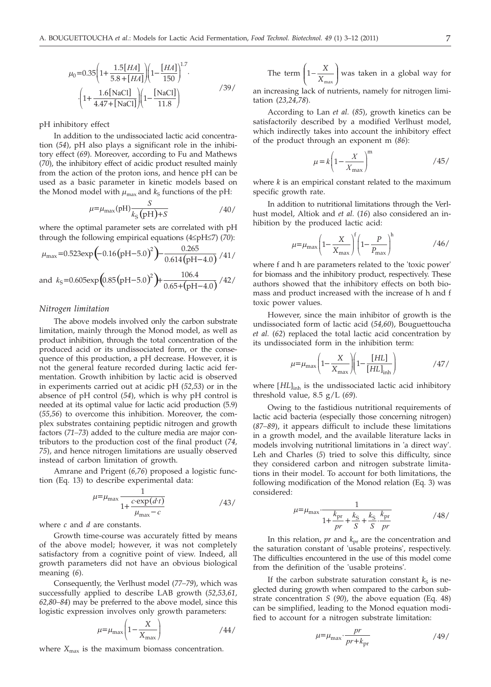$$
\mu_0 = 0.35 \left( 1 + \frac{1.5\left[ HA \right]}{5.8 + \left[ HA \right]} \right) \left( 1 - \frac{\left[ HA \right]}{150} \right)^{1.7} \cdot \left( 1 + \frac{1.6\left[ NaCl \right]}{4.47 + \left[ NaCl \right]} \right) \left( 1 - \frac{\left[ NaCl \right]}{11.8} \right) \tag{39}
$$

pH inhibitory effect

In addition to the undissociated lactic acid concentration (*54*), pH also plays a significant role in the inhibitory effect (*69*). Moreover, according to Fu and Mathews (*70*), the inhibitory effect of acidic product resulted mainly from the action of the proton ions, and hence pH can be used as a basic parameter in kinetic models based on the Monod model with  $\mu_{\text{max}}$  and  $k_{\text{S}}$  functions of the pH:

$$
\mu = \mu_{\text{max}}(\text{pH}) \frac{S}{k_{\text{S}}(\text{pH}) + S} \tag{40}
$$

where the optimal parameter sets are correlated with pH through the following empirical equations (4£pH£7) (*70*):

$$
\mu_{\text{max}} = 0.523 \exp\left(-0.16(pH - 5.0)^2\right) - \frac{0.265}{0.614(pH - 4.0)} / 41 /
$$

and 
$$
k_S = 0.605 \exp\left(0.85(pH-5.0)^2\right) + \frac{106.4}{0.65+(pH-4.0)} / 42 /
$$

#### *Nitrogen limitation*

The above models involved only the carbon substrate limitation, mainly through the Monod model, as well as product inhibition, through the total concentration of the produced acid or its undissociated form, or the consequence of this production, a pH decrease. However, it is not the general feature recorded during lactic acid fermentation. Growth inhibition by lactic acid is observed in experiments carried out at acidic pH (*52,53*) or in the absence of pH control (*54*), which is why pH control is needed at its optimal value for lactic acid production (5.9) (*55,56*) to overcome this inhibition. Moreover, the complex substrates containing peptidic nitrogen and growth factors (*71–73*) added to the culture media are major contributors to the production cost of the final product (*74, 75*), and hence nitrogen limitations are usually observed instead of carbon limitation of growth.

Amrane and Prigent (*6,76*) proposed a logistic function (Eq. 13) to describe experimental data:

$$
\mu = \mu_{\text{max}} \frac{1}{1 + \frac{c \cdot \exp(d \cdot t)}{\mu_{\text{max}} - c}} \tag{43}
$$

where *c* and *d* are constants.

Growth time-course was accurately fitted by means of the above model; however, it was not completely satisfactory from a cognitive point of view. Indeed, all growth parameters did not have an obvious biological meaning (*6*).

Consequently, the Verlhust model (*77–79*), which was successfully applied to describe LAB growth (*52,53,61, 62,80–84*) may be preferred to the above model, since this logistic expression involves only growth parameters:

$$
\mu = \mu_{\text{max}} \left( 1 - \frac{X}{X_{\text{max}}} \right) \tag{44/}
$$

where  $X_{\text{max}}$  is the maximum biomass concentration.

The term 
$$
\left(1 - \frac{X}{X_{\text{max}}}\right)
$$
 was taken in a global way for

an increasing lack of nutrients, namely for nitrogen limitation (*23,24,78*).

According to Lan *et al.* (*85*), growth kinetics can be satisfactorily described by a modified Verlhust model, which indirectly takes into account the inhibitory effect of the product through an exponent m (*86*):

$$
\mu = k \left( 1 - \frac{X}{X_{\text{max}}} \right)^{\text{m}} \tag{45}
$$

where *k* is an empirical constant related to the maximum specific growth rate.

In addition to nutritional limitations through the Verlhust model, Altiok and *et al.* (*16*) also considered an inhibition by the produced lactic acid:

$$
\mu = \mu_{\text{max}} \left( 1 - \frac{X}{X_{\text{max}}} \right)^f \left( 1 - \frac{P}{P_{\text{max}}} \right)^h \tag{46}
$$

where f and h are parameters related to the 'toxic power' for biomass and the inhibitory product, respectively. These authors showed that the inhibitory effects on both biomass and product increased with the increase of h and f toxic power values.

However, since the main inhibitor of growth is the undissociated form of lactic acid (*54,60*), Bouguettoucha *et al.* (*62*) replaced the total lactic acid concentration by its undissociated form in the inhibition term:

$$
\mu = \mu_{\text{max}} \left( 1 - \frac{X}{X_{\text{max}}} \right) \left( 1 - \frac{[HL]}{[HL]_{\text{inh}}} \right) \tag{47}
$$

where [HL]<sub>inh</sub> is the undissociated lactic acid inhibitory threshold value, 8.5 g/L (*69*).

Owing to the fastidious nutritional requirements of lactic acid bacteria (especially those concerning nitrogen) (*87–89*), it appears difficult to include these limitations in a growth model, and the available literature lacks in models involving nutritional limitations in 'a direct way'. Leh and Charles (*5*) tried to solve this difficulty, since they considered carbon and nitrogen substrate limitations in their model. To account for both limitations, the following modification of the Monod relation (Eq. 3) was considered:

$$
\mu = \mu_{\text{max}} \cdot \frac{1}{1 + \frac{k_{\text{pr}}}{pr} + \frac{k_{\text{S}}}{S} + \frac{k_{\text{S}}}{S} \cdot \frac{k_{\text{pr}}}{pr}}
$$
 (48)

In this relation, *pr* and  $k_{\text{pr}}$  are the concentration and the saturation constant of 'usable proteins', respectively. The difficulties encountered in the use of this model come from the definition of the 'usable proteins'.

If the carbon substrate saturation constant  $k<sub>S</sub>$  is neglected during growth when compared to the carbon substrate concentration *S* (*90*), the above equation (Eq. 48) can be simplified, leading to the Monod equation modified to account for a nitrogen substrate limitation:

$$
\mu = \mu_{\text{max}} \cdot \frac{pr}{pr + k_{\text{pr}}}
$$
 (49)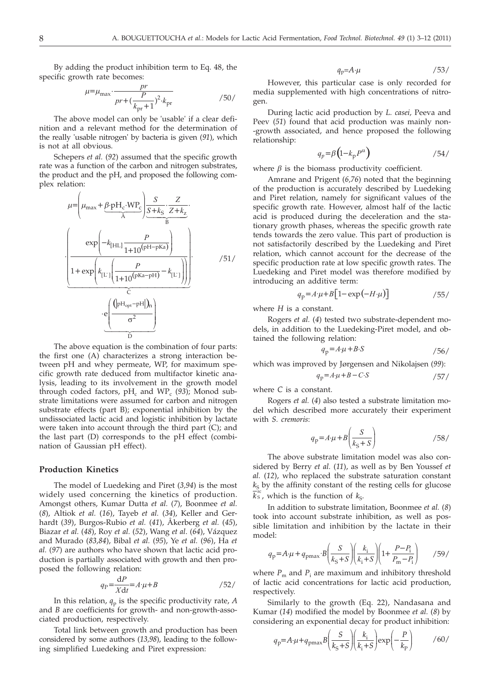By adding the product inhibition term to Eq. 48, the specific growth rate becomes:

$$
\mu = \mu_{\text{max}} \cdot \frac{pr}{pr + \left(\frac{P}{k_{\text{pr}} + 1}\right)^2 \cdot k_{\text{pr}}}
$$

The above model can only be 'usable' if a clear definition and a relevant method for the determination of the really 'usable nitrogen' by bacteria is given (*91*), which is not at all obvious.

Schepers *et al.* (*92*) assumed that the specific growth rate was a function of the carbon and nitrogen substrates, the product and the pH, and proposed the following complex relation:

$$
\mu = \left(\mu_{\text{max}} + \underbrace{\beta \cdot \text{pH}_{c} \cdot \text{WP}_{c}}_{\widehat{A}}\right) \underbrace{\frac{S}{S + k_{S}} \cdot \frac{Z}{Z + k_{Z}}}_{\widehat{B}} \cdot \underbrace{\left(\frac{\exp\left(-k_{\text{[HL]}} \frac{P}{1 + 10^{\text{(pH-pKa)}}}\right)}{1 + \exp\left(k_{\text{[L']}} \left(\frac{P}{1 + 10^{\text{(pKa-pH)}}} - k_{\text{[L']}}\right)\right)}\right)}_{\widehat{C}} \cdot \underbrace{\left(\frac{\left(\left|\text{pH}_{\text{opt}} - \text{pH}\right|_{\widehat{A}}}{\sigma^{2}}\right)}_{\widehat{D}}\right)}_{\widehat{D}}
$$

The above equation is the combination of four parts: the first one (A) characterizes a strong interaction between pH and whey permeate, WP, for maximum specific growth rate deduced from multifactor kinetic analysis, leading to its involvement in the growth model through coded factors,  $pH_c$  and  $WP_c$  (93); Monod substrate limitations were assumed for carbon and nitrogen substrate effects (part B); exponential inhibition by the undissociated lactic acid and logistic inhibition by lactate were taken into account through the third part (C); and the last part (D) corresponds to the pH effect (combination of Gaussian pH effect).

#### **Production Kinetics**

The model of Luedeking and Piret (*3,94*) is the most widely used concerning the kinetics of production. Amongst others, Kumar Dutta *et al.* (*7*), Boonmee *et al.* (*8*), Altiok *et al.* (*16*), Tayeb *et al.* (*34*), Keller and Gerhardt (*39*), Burgos-Rubio *et al.* (*41*), Åkerberg *et al.* (*45*), Biazar *et al.* (*48*), Roy *et al.* (*52*), Wang *et al*. (*64*), Vázquez and Murado (*83,84*), Bibal *et al.* (*95*), Ye *et al.* (*96*), Ha *et al.* (*97*) are authors who have shown that lactic acid production is partially associated with growth and then proposed the following relation:

$$
q_{\rm P} = \frac{\mathrm{d}P}{X\mathrm{d}t} = A \cdot \mu + B \tag{52}
$$

In this relation,  $q_p$  is the specific productivity rate, *A* and *B* are coefficients for growth- and non-growth-associated production, respectively.

Total link between growth and production has been considered by some authors (*13,98*), leading to the following simplified Luedeking and Piret expression:

$$
q_p = A \cdot \mu \tag{53/}
$$

However, this particular case is only recorded for media supplemented with high concentrations of nitrogen.

During lactic acid production by *L. casei,* Peeva and Peev (*51*) found that acid production was mainly non- -growth associated, and hence proposed the following relationship:

$$
q_p = \beta \left( 1 - k_p P^{\alpha} \right) \tag{54}
$$

where  $\beta$  is the biomass productivity coefficient.

Amrane and Prigent (*6,76*) noted that the beginning of the production is accurately described by Luedeking and Piret relation, namely for significant values of the specific growth rate. However, almost half of the lactic acid is produced during the deceleration and the stationary growth phases, whereas the specific growth rate tends towards the zero value. This part of production is not satisfactorily described by the Luedeking and Piret relation, which cannot account for the decrease of the specific production rate at low specific growth rates. The Luedeking and Piret model was therefore modified by introducing an additive term:

$$
q_p = A \cdot \mu + B \left[ 1 - \exp\left(-H \cdot \mu\right) \right] \tag{55/}
$$

where *H* is a constant.

Rogers *et al.* (*4*) tested two substrate-dependent models, in addition to the Luedeking-Piret model, and obtained the following relation:

$$
q_p = A \cdot \mu + B \cdot S \tag{56}
$$

which was improved by Jørgensen and Nikolajsen (*99*):

$$
q_p = A \cdot \mu + B - C \cdot S \tag{57}
$$

where *C* is a constant.

Rogers *et al.* (*4*) also tested a substrate limitation model which described more accurately their experiment with *S. cremoris*:

$$
q_p = A \cdot \mu + B \left( \frac{S}{k_S + S} \right) \tag{58}
$$

The above substrate limitation model was also considered by Berry *et al.* (*11*), as well as by Ben Youssef *et al.* (*12*), who replaced the substrate saturation constant  $k<sub>S</sub>$  by the affinity constant of the resting cells for glucose  $\overline{k}_{\rm s}^{\rm rc}$ , which is the function of  $k_{\rm s}$ .

In addition to substrate limitation, Boonmee *et al.* (*8*) took into account substrate inhibition, as well as possible limitation and inhibition by the lactate in their model:

$$
q_{\rm p} = A \cdot \mu + q_{\rm pmax} \cdot B \left( \frac{S}{k_{\rm S} + S} \right) \left( \frac{k_{\rm i}}{k_{\rm i} + S} \right) \left( 1 + \frac{P - P_{\rm i}}{P_{\rm m} - P_{\rm i}} \right) \tag{59}
$$

where  $P_m$  and  $P_i$  are maximum and inhibitory threshold of lactic acid concentrations for lactic acid production, respectively.

Similarly to the growth (Eq. 22), Nandasana and Kumar (*14*) modified the model by Boonmee *et al.* (*8*) by considering an exponential decay for product inhibition:

$$
q_{\rm p} = A \cdot \mu + q_{\rm pmax} B \left( \frac{S}{k_{\rm s} + S} \right) \left( \frac{k_{\rm i}}{k_{\rm i} + S} \right) \exp \left( -\frac{P}{k_{\rm p}} \right) \tag{60}
$$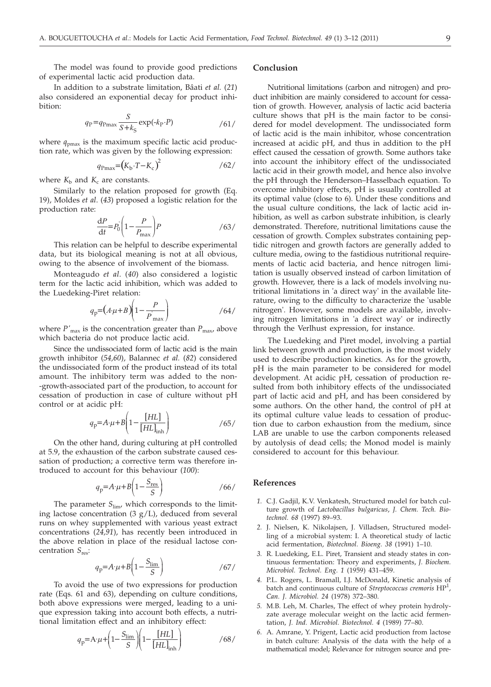The model was found to provide good predictions of experimental lactic acid production data.

In addition to a substrate limitation, Bâati *et al.* (*21*) also considered an exponential decay for product inhibition:

$$
q_{\rm P} = q_{\rm Pmax} \frac{S}{S + k_{\rm S}} \exp(\text{-}k_{\rm P} \cdot P) \tag{61}
$$

where  $q_{\text{pmax}}$  is the maximum specific lactic acid production rate, which was given by the following expression:

$$
q_{\text{Pmax}} = (K_{\text{b}} \cdot T - K_{\text{c}})^2 \tag{62}
$$

where  $K_b$  and  $K_c$  are constants.

Similarly to the relation proposed for growth (Eq. 19), Moldes *et al*. (*43*) proposed a logistic relation for the production rate:

$$
\frac{\mathrm{d}P}{\mathrm{d}t} = P_0 \left( 1 - \frac{P}{P_{\text{max}}} \right) P \tag{63}
$$

This relation can be helpful to describe experimental data, but its biological meaning is not at all obvious, owing to the absence of involvement of the biomass.

Monteagudo *et al*. (*40*) also considered a logistic term for the lactic acid inhibition, which was added to the Luedeking-Piret relation:

$$
q_p = (A \cdot \mu + B) \left( 1 - \frac{P}{P_{\text{max}}} \right) \tag{64}
$$

where  $P'_{\text{max}}$  is the concentration greater than  $P_{\text{max}}$  above which bacteria do not produce lactic acid.

Since the undissociated form of lactic acid is the main growth inhibitor (*54,60*), Balannec *et al.* (*82*) considered the undissociated form of the product instead of its total amount. The inhibitory term was added to the non- -growth-associated part of the production, to account for cessation of production in case of culture without pH control or at acidic pH:

$$
q_{\rm p} = A \cdot \mu + B \left( 1 - \frac{[HL]}{[HL]} \right) \tag{65}
$$

On the other hand, during culturing at pH controlled at 5.9, the exhaustion of the carbon substrate caused cessation of production; a corrective term was therefore introduced to account for this behaviour (*100*):

$$
q_p = A \cdot \mu + B \left( 1 - \frac{S_{\text{res}}}{S} \right) \tag{66}
$$

The parameter  $S_{\text{lim}}$ , which corresponds to the limiting lactose concentration  $(3 g/L)$ , deduced from several runs on whey supplemented with various yeast extract concentrations (*24,91*), has recently been introduced in the above relation in place of the residual lactose concentration *S*res:

$$
q_p = A \cdot \mu + B \left( 1 - \frac{S_{\text{lim}}}{S} \right) \tag{67}
$$

To avoid the use of two expressions for production rate (Eqs. 61 and 63), depending on culture conditions, both above expressions were merged, leading to a unique expression taking into account both effects, a nutritional limitation effect and an inhibitory effect:

$$
q_{\rm p} = A \cdot \mu + \left(1 - \frac{S_{\rm lim}}{S}\right) \left(1 - \frac{[HL]}{[HL]_{\rm inh}}\right) \tag{68}
$$

#### **Conclusion**

Nutritional limitations (carbon and nitrogen) and product inhibition are mainly considered to account for cessation of growth. However, analysis of lactic acid bacteria culture shows that pH is the main factor to be considered for model development. The undissociated form of lactic acid is the main inhibitor, whose concentration increased at acidic pH, and thus in addition to the pH effect caused the cessation of growth. Some authors take into account the inhibitory effect of the undissociated lactic acid in their growth model, and hence also involve the pH through the Henderson–Hasselbach equation. To overcome inhibitory effects, pH is usually controlled at its optimal value (close to 6). Under these conditions and the usual culture conditions, the lack of lactic acid inhibition, as well as carbon substrate inhibition, is clearly demonstrated. Therefore, nutritional limitations cause the cessation of growth. Complex substrates containing peptidic nitrogen and growth factors are generally added to culture media, owing to the fastidious nutritional requirements of lactic acid bacteria, and hence nitrogen limitation is usually observed instead of carbon limitation of growth. However, there is a lack of models involving nutritional limitations in 'a direct way' in the available literature, owing to the difficulty to characterize the 'usable nitrogen'. However, some models are available, involving nitrogen limitations in 'a direct way' or indirectly through the Verlhust expression, for instance.

The Luedeking and Piret model, involving a partial link between growth and production, is the most widely used to describe production kinetics. As for the growth, pH is the main parameter to be considered for model development. At acidic pH, cessation of production resulted from both inhibitory effects of the undissociated part of lactic acid and pH, and has been considered by some authors. On the other hand, the control of pH at its optimal culture value leads to cessation of production due to carbon exhaustion from the medium, since LAB are unable to use the carbon components released by autolysis of dead cells; the Monod model is mainly considered to account for this behaviour.

### **References**

- *1.* C.J. Gadjil, K.V. Venkatesh, Structured model for batch culture growth of *Lactobacillus bulgaricus*, *J. Chem. Tech. Biotechnol. 68* (1997) 89–93.
- *2.* J. Nielsen, K. Nikolajsen, J. Villadsen, Structured modelling of a microbial system: I. A theoretical study of lactic acid fermentation, *Biotechnol. Bioeng. 38* (1991) 1–10.
- *3.* R. Luedeking, E.L. Piret, Transient and steady states in continuous fermentation: Theory and experiments, *J. Biochem. Microbiol. Technol. Eng. 1* (1959) 431–459.
- *4.* P.L. Rogers, L. Bramall, I.J. McDonald, Kinetic analysis of batch and continuous culture of *Streptococcus cremoris* HP<sup>1</sup> , *Can. J. Microbiol. 24* (1978) 372–380.
- *5.* M.B. Leh, M. Charles, The effect of whey protein hydrolyzate average molecular weight on the lactic acid fermentation, *J. Ind. Microbiol. Biotechnol. 4* (1989) 77–80.
- *6.* A. Amrane, Y. Prigent, Lactic acid production from lactose in batch culture: Analysis of the data with the help of a mathematical model; Relevance for nitrogen source and pre-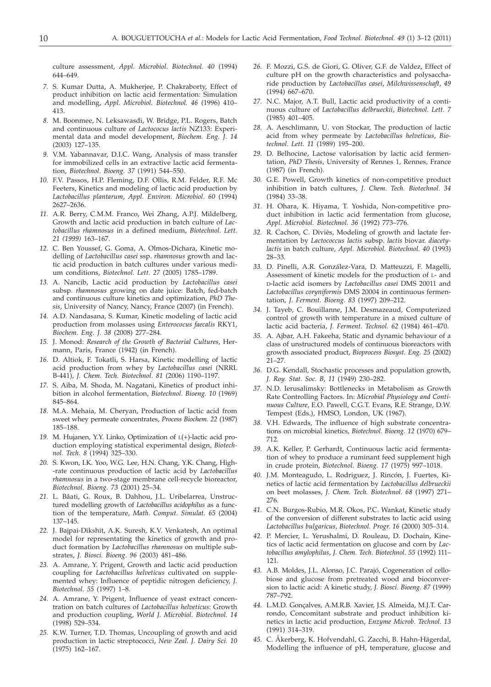culture assessment, *Appl. Microbiol. Biotechnol. 40* (1994) 644–649.

- *7.* S. Kumar Dutta, A. Mukherjee, P. Chakraborty, Effect of product inhibition on lactic acid fermentation: Simulation and modelling, *Appl. Microbiol. Biotechnol. 46* (1996) 410– 413.
- *8.* M. Boonmee, N. Leksawasdi, W. Bridge, P.L. Rogers, Batch and continuous culture of *Lactococus lactis* NZ133: Experimental data and model development, *Biochem. Eng. J. 14* (2003) 127–135.
- *9.* V.M. Yabannavar, D.I.C. Wang, Analysis of mass transfer for immobilized cells in an extractive lactic acid fermentation, *Biotechnol. Bioeng. 37* (1991) 544–550.
- *10.* F.V. Passos, H.P. Fleming, D.F. Ollis, R.M. Felder, R.F. Mc Feeters, Kinetics and modeling of lactic acid production by *Lactobacillus plantarum*, *Appl. Environ. Microbiol. 60* (1994) 2627–2636.
- *11.* A.R. Berry, C.M.M. Franco, Wei Zhang, A.P.J. Mildelberg, Growth and lactic acid production in batch culture of *Lactobacillus rhamnosus* in a defined medium, *Biotechnol. Lett. 21 (1999)* 163–167.
- *12.* C. Ben Youssef, G. Goma, A. Olmos-Dichara, Kinetic modelling of *Lactobacillus casei* ssp. *rhamnosus* growth and lactic acid production in batch cultures under various medium conditions, *Biotechnol. Lett. 27* (2005) 1785–1789.
- *13.* A. Nancib, Lactic acid production by *Lactobacillus casei* subsp. *rhamnosus* growing on date juice: Batch, fed-batch and continuous culture kinetics and optimization, *PhD Thesis*, University of Nancy, Nancy, France (2007) (in French).
- *14.* A.D. Nandasana, S. Kumar, Kinetic modeling of lactic acid production from molasses using *Enterococus faecalis* RKY1, *Biochem. Eng. J. 38* (2008) 277–284.
- *15.* J. Monod: *Research of the Growth of Bacterial Cultures*, Hermann, Paris, France (1942) (in French).
- *16.* D. Altiok, F. Tokatli, S. Harsa, Kinetic modelling of lactic acid production from whey by *Lactobacillus casei* (NRRL B-441), *J. Chem. Tech. Biotechnol. 81* (2006) 1190–1197.
- *17.* S. Aiba, M. Shoda, M. Nagatani, Kinetics of product inhibition in alcohol fermentation, *Biotechnol. Bioeng. 10* (1969) 845–864.
- *18.* M.A. Mehaia, M. Cheryan, Production of lactic acid from sweet whey permeate concentrates, *Process Biochem. 22* (1987) 185–188.
- *19.* M. Hujanen, Y.Y. Linko, Optimization of L(+)-lactic acid production employing statistical experimental design, *Biotechnol. Tech. 8* (1994) 325–330.
- *20.* S. Kwon, I.K. Yoo, W.G. Lee, H.N. Chang, Y.K. Chang, High- -rate continuous production of lactic acid by *Lactobacillus rhamnosus* in a two-stage membrane cell-recycle bioreactor, *Biotechnol. Bioeng. 73* (2001) 25–34.
- *21.* L. Bâati, G. Roux, B. Dahhou, J.L. Uribelarrea, Unstructured modelling growth of *Lactobacillus acidophilus* as a function of the temperature, *Math. Comput. Simulat. 65* (2004) 137–145.
- *22.* J. Bajpai-Dikshit, A.K. Suresh, K.V. Venkatesh, An optimal model for representating the kinetics of growth and product formation by *Lactobacillus rhamnosus* on multiple substrates, *J. Biosci. Bioeng. 96* (2003) 481–486.
- *23.* A. Amrane, Y. Prigent, Growth and lactic acid production coupling for *Lactobacillus helveticus* cultivated on supplemented whey: Influence of peptidic nitrogen deficiency, *J. Biotechnol. 55* (1997) 1–8.
- *24.* A. Amrane, Y. Prigent, Influence of yeast extract concentration on batch cultures of *Lactobacillus helveticus*: Growth and production coupling, *World J. Microbiol. Biotechnol. 14* (1998) 529–534.
- *25.* K.W. Turner, T.D. Thomas, Uncoupling of growth and acid production in lactic streptococci, *New Zeal. J. Dairy Sci. 10* (1975) 162–167.
- *26.* F. Mozzi, G.S. de Giori, G. Oliver, G.F. de Valdez, Effect of culture pH on the growth characteristics and polysaccharide production by *Lactobacillus casei*, *Milchwissenschaft, 49* (1994) 667–670.
- *27.* N.C. Major, A.T. Bull, Lactic acid productivity of a continuous culture of *Lactobacillus delbrueckii*, *Biotechnol. Lett. 7* (1985) 401–405.
- *28.* A. Aeschlimann, U. von Stockar, The production of lactic acid from whey permeate by *Lactobacillus helveticus*, *Biotechnol. Lett. 11* (1989) 195–200.
- *29.* D. Belhocine, Lactose valorisation by lactic acid fermentation, *PhD Thesis*, University of Rennes 1, Rennes, France (1987) (in French).
- *30.* G.E. Powell, Growth kinetics of non-competitive product inhibition in batch cultures, *J. Chem. Tech. Biotechnol. 34* (1984) 33–38.
- *31.* H. Ohara, K. Hiyama, T. Yoshida, Non-competitive product inhibition in lactic acid fermentation from glucose, *Appl. Microbiol. Biotechnol. 36* (1992) 773–776.
- *32.* R. Cachon, C. Diviès, Modeling of growth and lactate fermentation by *Lactococcus lactis* subsp. *lactis* biovar. *diacetylactis* in batch culture, *Appl. Microbiol. Biotechnol. 40* (1993) 28–33.
- *33.* D. Pinelli, A.R. González-Vara, D. Matteuzzi, F. Magelli, Assessment of kinetic models for the production of L- and D-lactic acid isomers by *Lactobacillus casei* DMS 20011 and *Lactobacillus coryniformis* DMS 20004 in continuous fermentation, *J. Ferment. Bioeng. 83* (1997) 209–212.
- *34.* J. Tayeb, C. Bouillanne, J.M. Desmazeaud, Computerized control of growth with temperature in a mixed culture of lactic acid bacteria, *J. Ferment. Technol. 62* (1984) 461–470.
- *35.* A. Ajbar, A.H. Fakeeha, Static and dynamic behaviour of a class of unstructured models of continuous bioreactors with growth associated product, *Bioprocess Biosyst. Eng. 25* (2002) 21–27.
- *36.* D.G. Kendall, Stochastic processes and population growth, *J. Roy. Stat. Soc. B, 11* (1949) 230–282.
- *37.* N.D. Ierusalimsky: Bottlenecks in Metabolism as Growth Rate Controlling Factors. In: *Microbial Physiology and Continuous Culture*, E.O. Pawell, C.G.T. Evans, R.E. Strange, D.W. Tempest (Eds.), HMSO, London, UK (1967).
- *38.* V.H. Edwards, The influence of high substrate concentrations on microbial kinetics, *Biotechnol. Bioeng. 12* (1970) 679– 712.
- *39.* A.K. Keller, P. Gerhardt, Continuous lactic acid fermentation of whey to produce a ruminant feed supplement high in crude protein, *Biotechnol. Bioeng. 17* (1975) 997–1018.
- *40.* J.M. Monteagudo, L. Rodriguez, J. Rincón, J. Fuertes, Kinetics of lactic acid fermentation by *Lactobacillus delbrueckii* on beet molasses, *J. Chem. Tech. Biotechnol. 68* (1997) 271– 276.
- *41.* C.N. Burgos-Rubio, M.R. Okos, P.C. Wankat, Kinetic study of the conversion of different substrates to lactic acid using *Lactobacillus bulgaricus*, *Biotechnol. Progr. 16* (2000) 305–314.
- *42.* P. Mercier, L. Yerushalmi, D. Rouleau, D. Dochain, Kinetics of lactic acid fermentation on glucose and corn by *Lactobacillus amylophilus*, *J. Chem. Tech. Biotechnol. 55* (1992) 111– 121.
- *43.* A.B. Moldes, J.L. Alonso, J.C. Parajó, Cogeneration of cellobiose and glucose from pretreated wood and bioconversion to lactic acid: A kinetic study, *J. Biosci. Bioeng. 87* (1999) 787–792.
- *44.* L.M.D. Gonçalves, A.M.R.B. Xavier, J.S. Almeida, M.J.T. Carrondo, Concomitant substrate and product inhibition kinetics in lactic acid production, *Enzyme Microb. Technol. 13* (1991) 314–319.
- *45.* C. Åkerberg, K. Hofvendahl, G. Zacchi, B. Hahn-Hägerdal, Modelling the influence of pH, temperature, glucose and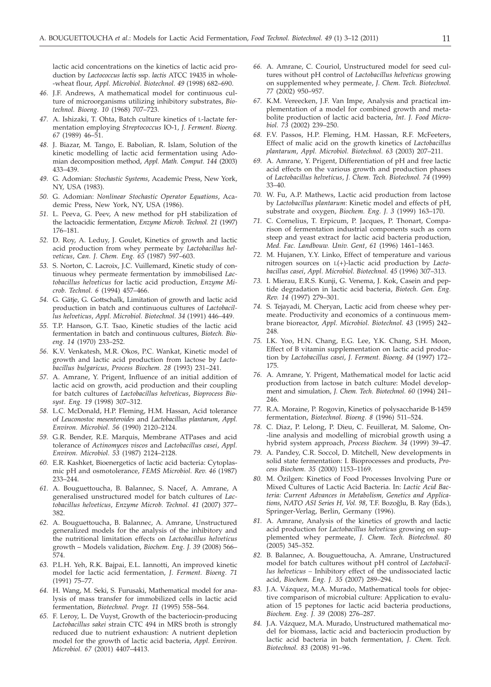lactic acid concentrations on the kinetics of lactic acid production by *Lactococcus lactis* ssp. *lactis* ATCC 19435 in whole- -wheat flour, *Appl. Microbiol. Biotechnol. 49* (1998) 682–690.

- *46.* J.F. Andrews, A mathematical model for continuous culture of microorganisms utilizing inhibitory substrates, *Biotechnol. Bioeng. 10* (1968) 707–723.
- *47.* A. Ishizaki, T. Ohta, Batch culture kinetics of L-lactate fermentation employing *Streptococcus* IO-1, *J. Ferment. Bioeng. 67* (1989) 46–51.
- *48.* J. Biazar, M. Tango, E. Babolian, R. Islam, Solution of the kinetic modelling of lactic acid fermentation using Adomian decomposition method, *Appl. Math. Comput. 144* (2003) 433–439.
- *49.* G. Adomian: *Stochastic Systems*, Academic Press, New York, NY, USA (1983).
- *50.* G. Adomian: *Nonlinear Stochastic Operator Equations*, Academic Press, New York, NY, USA (1986).
- *51.* L. Peeva, G. Peev, A new method for pH stabilization of the lactoacidic fermentation, *Enzyme Microb. Technol. 21* (1997) 176–181.
- *52.* D. Roy, A. Leduy, J. Goulet, Kinetics of growth and lactic acid production from whey permeate by *Lactobacillus helveticus*, *Can. J. Chem. Eng. 65* (1987) 597–603.
- *53.* S. Norton, C. Lacroix, J.C. Vuillemard, Kinetic study of continuous whey permeate fermentation by immobilised *Lactobacillus helveticus* for lactic acid production, *Enzyme Microb. Technol. 6* (1994) 457–466.
- *54.* G. Gätje, G. Gottschalk, Limitation of growth and lactic acid production in batch and continuous cultures of *Lactobacillus helveticus*, *Appl. Microbiol. Biotechnol. 34* (1991) 446–449.
- *55.* T.P. Hanson, G.T. Tsao, Kinetic studies of the lactic acid fermentation in batch and continuous cultures, *Biotech. Bioeng. 14* (1970) 233–252.
- *56.* K.V. Venkatesh, M.R. Okos, P.C. Wankat, Kinetic model of growth and lactic acid production from lactose by *Lactobacillus bulgaricus*, *Process Biochem. 28* (1993) 231–241.
- *57.* A. Amrane, Y. Prigent, Influence of an initial addition of lactic acid on growth, acid production and their coupling for batch cultures of *Lactobacillus helveticus*, *Bioprocess Biosyst. Eng. 19* (1998) 307–312.
- *58.* L.C. McDonald, H.P. Fleming, H.M. Hassan, Acid tolerance of *Leuconostoc mesenteroides* and *Lactobacillus plantarum*, *Appl. Environ. Microbiol. 56* (1990) 2120–2124.
- *59.* G.R. Bender, R.E. Marquis, Membrane ATPases and acid tolerance of *Actinomyces viscos* and *Lactobacillus casei*, *Appl. Environ. Microbiol. 53* (1987) 2124–2128.
- *60.* E.R. Kashket, Bioenergetics of lactic acid bacteria: Cytoplasmic pH and osmotolerance, *FEMS Microbiol. Rev. 46* (1987) 233–244.
- *61.* A. Bouguettoucha, B. Balannec, S. Nacef, A. Amrane, A generalised unstructured model for batch cultures of *Lactobacillus helveticus*, *Enzyme Microb. Technol. 41* (2007) 377– 382.
- *62.* A. Bouguettoucha, B. Balannec, A. Amrane, Unstructured generalized models for the analysis of the inhibitory and the nutritional limitation effects on *Lactobacillus helveticus* growth – Models validation, *Biochem. Eng. J. 39* (2008) 566– 574.
- *63.* P.L.H. Yeh, R.K. Bajpai, E.L. Iannotti, An improved kinetic model for lactic acid fermentation, *J. Ferment. Bioeng. 71* (1991) 75–77.
- *64.* H. Wang, M. Seki, S. Furusaki, Mathematical model for analysis of mass transfer for immobilized cells in lactic acid fermentation, *Biotechnol. Progr. 11* (1995) 558–564.
- *65.* F. Leroy, L. De Vuyst, Growth of the bacteriocin-producing *Lactobacillus sakei* strain CTC 494 in MRS broth is strongly reduced due to nutrient exhaustion: A nutrient depletion model for the growth of lactic acid bacteria, *Appl. Environ. Microbiol. 67* (2001) 4407–4413.
- *66.* A. Amrane, C. Couriol, Unstructured model for seed cultures without pH control of *Lactobacillus helveticus* growing on supplemented whey permeate, *J. Chem. Tech. Biotechnol. 77* (2002) 950–957.
- *67.* K.M. Vereecken, J.F. Van Impe, Analysis and practical implementation of a model for combined growth and metabolite production of lactic acid bacteria, *Int. J. Food Microbiol. 73* (2002) 239–250.
- *68.* F.V. Passos, H.P. Fleming, H.M. Hassan, R.F. McFeeters, Effect of malic acid on the growth kinetics of *Lactobacillus plantarum*, *Appl. Microbiol. Biotechnol. 63* (2003) 207–211.
- *69.* A. Amrane, Y. Prigent, Differentiation of pH and free lactic acid effects on the various growth and production phases of *Lactobacillus helveticus*, *J. Chem. Tech. Biotechnol. 74* (1999) 33–40.
- *70.* W. Fu, A.P. Mathews, Lactic acid production from lactose by *Lactobacillus plantarum*: Kinetic model and effects of pH, substrate and oxygen, *Biochem. Eng. J. 3* (1999) 163–170.
- *71.* C. Cornelius, T. Erpicum, P. Jacques, P. Thonart, Comparison of fermentation industrial components such as corn steep and yeast extract for lactic acid bacteria production*, Med. Fac. Landbouw. Univ. Gent*, *61* (1996) 1461–1463.
- *72.* M. Hujanen, Y.Y. Linko, Effect of temperature and various nitrogen sources on L(+)-lactic acid production by *Lactobacillus casei*, *Appl. Microbiol. Biotechnol. 45* (1996) 307–313.
- *73.* I. Mierau, E.R.S. Kunji, G. Venema, J. Kok, Casein and peptide degradation in lactic acid bacteria, *Biotech. Gen. Eng. Rev. 14* (1997) 279–301.
- *74.* S. Tejayadi, M. Cheryan, Lactic acid from cheese whey permeate. Productivity and economics of a continuous membrane bioreactor, *Appl. Microbiol. Biotechnol. 43* (1995) 242– 248.
- *75.* I.K. Yoo, H.N. Chang, E.G. Lee, Y.K. Chang, S.H. Moon, Effect of B vitamin supplementation on lactic acid production by *Lactobacillus casei*, *J. Ferment. Bioeng. 84* (1997) 172– 175.
- *76.* A. Amrane, Y. Prigent, Mathematical model for lactic acid production from lactose in batch culture: Model development and simulation, *J. Chem. Tech. Biotechnol. 60* (1994) 241– 246.
- *77.* R.A. Moraine, P. Rogovin, Kinetics of polysaccharide B-1459 fermentation, *Biotechnol. Bioeng. 8* (1996) 511–524.
- *78.* C. Diaz, P. Lelong, P. Dieu, C. Feuillerat, M. Salome, On- -line analysis and modelling of microbial growth using a hybrid system approach, *Process Biochem. 34* (1999) 39–47.
- *79.* A. Pandey, C.R. Soccol, D. Mitchell, New developments in solid state fermentation: I. Bioprocesses and products, *Process Biochem. 35* (2000) 1153–1169.
- *80.* M. Özilgen: Kinetics of Food Processes Involving Pure or Mixed Cultures of Lactic Acid Bacteria. In: *Lactic Acid Bacteria: Current Advances in Metabolism, Genetics and Applicationsal Pauleon: Kinetics of Food Processes Involving Pure or Mixed Cultures of Lactic Acid Bacteria. In: <i>Lactic Acid Bacteria: Current Advances in Metabolism, Genetics and Applications, NATO ASI Series H, Vol. 98, T.F.* Springer-Verlag, Berlin, Germany (1996).
- *81.* A. Amrane, Analysis of the kinetics of growth and lactic acid production for *Lactobacillus helveticus* growing on supplemented whey permeate, *J. Chem. Tech. Biotechnol. 80* (2005) 345–352.
- *82.* B. Balannec, A. Bouguettoucha, A. Amrane, Unstructured model for batch cultures without pH control of *Lactobacillus helveticus –* Inhibitory effect of the undissociated lactic acid, *Biochem. Eng. J. 35* (2007) 289–294.
- *83.* J.A. Vázquez, M.A. Murado, Mathematical tools for objective comparison of microbial culture: Application to evaluation of 15 peptones for lactic acid bacteria productions, *Biochem. Eng. J. 39* (2008) 276–287.
- *84.* J.A. Vázquez, M.A. Murado, Unstructured mathematical model for biomass, lactic acid and bacteriocin production by lactic acid bacteria in batch fermentation*, J. Chem. Tech. Biotechnol. 83* (2008) 91–96.